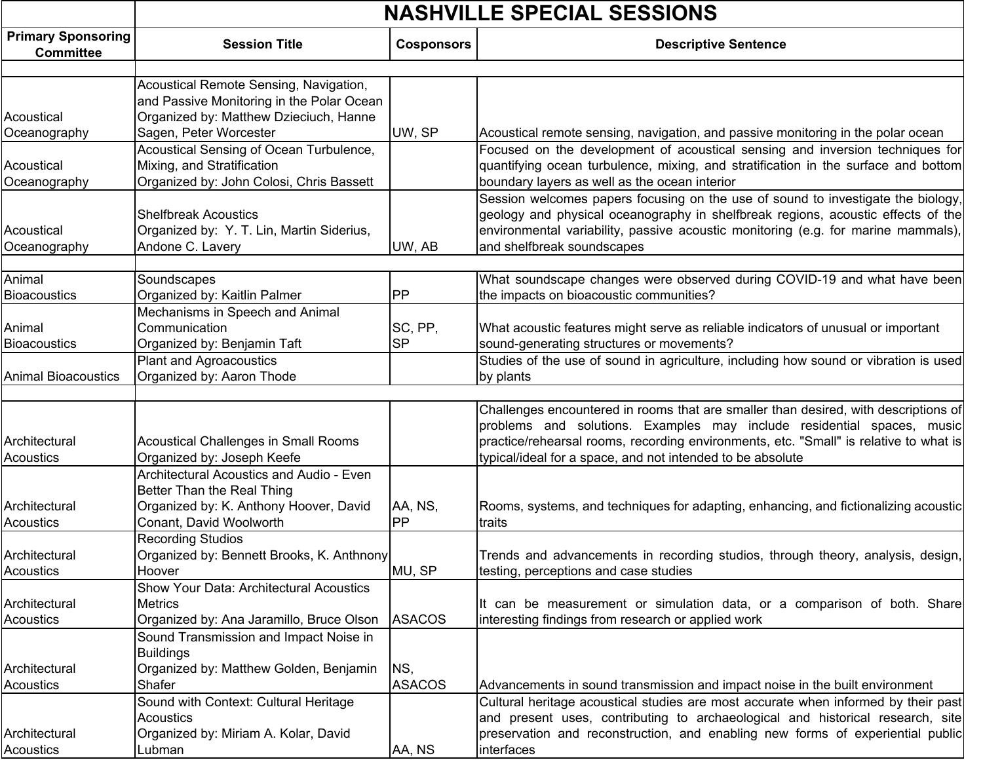|                                               | <b>NASHVILLE SPECIAL SESSIONS</b>                                                                                                           |                      |                                                                                                                                                                                                                                                                                                                      |  |
|-----------------------------------------------|---------------------------------------------------------------------------------------------------------------------------------------------|----------------------|----------------------------------------------------------------------------------------------------------------------------------------------------------------------------------------------------------------------------------------------------------------------------------------------------------------------|--|
| <b>Primary Sponsoring</b><br><b>Committee</b> | <b>Session Title</b>                                                                                                                        | <b>Cosponsors</b>    | <b>Descriptive Sentence</b>                                                                                                                                                                                                                                                                                          |  |
| Acoustical                                    | Acoustical Remote Sensing, Navigation,<br>and Passive Monitoring in the Polar Ocean<br>Organized by: Matthew Dzieciuch, Hanne               |                      |                                                                                                                                                                                                                                                                                                                      |  |
| Oceanography                                  | Sagen, Peter Worcester                                                                                                                      | UW, SP               | Acoustical remote sensing, navigation, and passive monitoring in the polar ocean                                                                                                                                                                                                                                     |  |
| Acoustical<br>Oceanography                    | Acoustical Sensing of Ocean Turbulence,<br>Mixing, and Stratification<br>Organized by: John Colosi, Chris Bassett                           |                      | Focused on the development of acoustical sensing and inversion techniques for<br>quantifying ocean turbulence, mixing, and stratification in the surface and bottom<br>boundary layers as well as the ocean interior                                                                                                 |  |
| Acoustical<br>Oceanography                    | <b>Shelfbreak Acoustics</b><br>Organized by: Y. T. Lin, Martin Siderius,<br>Andone C. Lavery                                                | UW, AB               | Session welcomes papers focusing on the use of sound to investigate the biology,<br>geology and physical oceanography in shelfbreak regions, acoustic effects of the<br>environmental variability, passive acoustic monitoring (e.g. for marine mammals),<br>and shelfbreak soundscapes                              |  |
| Animal<br><b>Bioacoustics</b>                 | Soundscapes<br>Organized by: Kaitlin Palmer                                                                                                 | PP                   | What soundscape changes were observed during COVID-19 and what have been<br>the impacts on bioacoustic communities?                                                                                                                                                                                                  |  |
| Animal<br><b>Bioacoustics</b>                 | Mechanisms in Speech and Animal<br>Communication<br>Organized by: Benjamin Taft                                                             | SC, PP,<br><b>SP</b> | What acoustic features might serve as reliable indicators of unusual or important<br>sound-generating structures or movements?                                                                                                                                                                                       |  |
| <b>Animal Bioacoustics</b>                    | <b>Plant and Agroacoustics</b><br>Organized by: Aaron Thode                                                                                 |                      | Studies of the use of sound in agriculture, including how sound or vibration is used<br>by plants                                                                                                                                                                                                                    |  |
| Architectural<br>Acoustics                    | <b>Acoustical Challenges in Small Rooms</b><br>Organized by: Joseph Keefe                                                                   |                      | Challenges encountered in rooms that are smaller than desired, with descriptions of<br>problems and solutions. Examples may include residential spaces, music<br>practice/rehearsal rooms, recording environments, etc. "Small" is relative to what is<br>typical/ideal for a space, and not intended to be absolute |  |
| Architectural<br>Acoustics                    | Architectural Acoustics and Audio - Even<br>Better Than the Real Thing<br>Organized by: K. Anthony Hoover, David<br>Conant, David Woolworth | AA, NS,<br>PP        | Rooms, systems, and techniques for adapting, enhancing, and fictionalizing acoustic<br>traits                                                                                                                                                                                                                        |  |
| Architectural<br><b>Acoustics</b>             | <b>Recording Studios</b><br>Organized by: Bennett Brooks, K. Anthnony<br>Hoover                                                             | MU, SP               | Trends and advancements in recording studios, through theory, analysis, design,<br>testing, perceptions and case studies                                                                                                                                                                                             |  |
| Architectural<br><b>Acoustics</b>             | <b>Show Your Data: Architectural Acoustics</b><br>Metrics<br>Organized by: Ana Jaramillo, Bruce Olson                                       | <b>ASACOS</b>        | It can be measurement or simulation data, or a comparison of both. Share<br>interesting findings from research or applied work                                                                                                                                                                                       |  |
| Architectural<br>Acoustics                    | Sound Transmission and Impact Noise in<br><b>Buildings</b><br>Organized by: Matthew Golden, Benjamin<br>Shafer                              | NS,<br><b>ASACOS</b> | Advancements in sound transmission and impact noise in the built environment                                                                                                                                                                                                                                         |  |
| Architectural<br>Acoustics                    | Sound with Context: Cultural Heritage<br>Acoustics<br>Organized by: Miriam A. Kolar, David<br>Lubman                                        | AA, NS               | Cultural heritage acoustical studies are most accurate when informed by their past<br>and present uses, contributing to archaeological and historical research, site<br>preservation and reconstruction, and enabling new forms of experiential public<br>interfaces                                                 |  |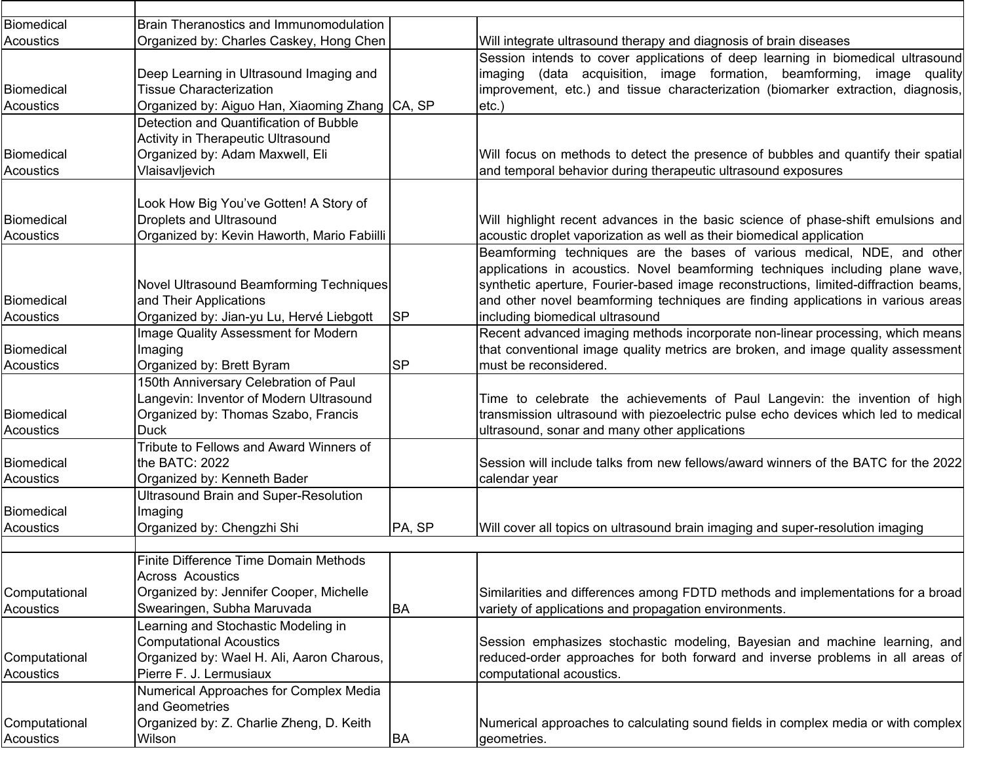| Biomedical        | Brain Theranostics and Immunomodulation        |           |                                                                                     |
|-------------------|------------------------------------------------|-----------|-------------------------------------------------------------------------------------|
| Acoustics         | Organized by: Charles Caskey, Hong Chen        |           | Will integrate ultrasound therapy and diagnosis of brain diseases                   |
|                   |                                                |           | Session intends to cover applications of deep learning in biomedical ultrasound     |
|                   | Deep Learning in Ultrasound Imaging and        |           | imaging (data acquisition, image formation, beamforming, image quality              |
| Biomedical        | <b>Tissue Characterization</b>                 |           | improvement, etc.) and tissue characterization (biomarker extraction, diagnosis,    |
| <b>Acoustics</b>  | Organized by: Aiguo Han, Xiaoming Zhang CA, SP |           | $etc.$ )                                                                            |
|                   | Detection and Quantification of Bubble         |           |                                                                                     |
|                   | Activity in Therapeutic Ultrasound             |           |                                                                                     |
| Biomedical        | Organized by: Adam Maxwell, Eli                |           | Will focus on methods to detect the presence of bubbles and quantify their spatial  |
| <b>Acoustics</b>  | Vlaisavljevich                                 |           | and temporal behavior during therapeutic ultrasound exposures                       |
|                   |                                                |           |                                                                                     |
|                   | Look How Big You've Gotten! A Story of         |           |                                                                                     |
| Biomedical        | <b>Droplets and Ultrasound</b>                 |           | Will highlight recent advances in the basic science of phase-shift emulsions and    |
| <b>Acoustics</b>  | Organized by: Kevin Haworth, Mario Fabiilli    |           | acoustic droplet vaporization as well as their biomedical application               |
|                   |                                                |           | Beamforming techniques are the bases of various medical, NDE, and other             |
|                   |                                                |           | applications in acoustics. Novel beamforming techniques including plane wave,       |
|                   | Novel Ultrasound Beamforming Techniques        |           | synthetic aperture, Fourier-based image reconstructions, limited-diffraction beams, |
| Biomedical        | and Their Applications                         |           | and other novel beamforming techniques are finding applications in various areas    |
| <b>Acoustics</b>  | Organized by: Jian-yu Lu, Hervé Liebgott       | <b>SP</b> | including biomedical ultrasound                                                     |
|                   | Image Quality Assessment for Modern            |           | Recent advanced imaging methods incorporate non-linear processing, which means      |
| Biomedical        | Imaging                                        |           | that conventional image quality metrics are broken, and image quality assessment    |
| <b>Acoustics</b>  | Organized by: Brett Byram                      | <b>SP</b> | must be reconsidered.                                                               |
|                   | 150th Anniversary Celebration of Paul          |           |                                                                                     |
|                   | Langevin: Inventor of Modern Ultrasound        |           | Time to celebrate the achievements of Paul Langevin: the invention of high          |
| Biomedical        | Organized by: Thomas Szabo, Francis            |           | transmission ultrasound with piezoelectric pulse echo devices which led to medical  |
| <b>Acoustics</b>  | <b>Duck</b>                                    |           | ultrasound, sonar and many other applications                                       |
|                   | Tribute to Fellows and Award Winners of        |           |                                                                                     |
| Biomedical        | the BATC: 2022                                 |           | Session will include talks from new fellows/award winners of the BATC for the 2022  |
| Acoustics         | Organized by: Kenneth Bader                    |           | calendar year                                                                       |
|                   | <b>Ultrasound Brain and Super-Resolution</b>   |           |                                                                                     |
| <b>Biomedical</b> | Imaging                                        |           |                                                                                     |
| <b>Acoustics</b>  | Organized by: Chengzhi Shi                     | PA, SP    | Will cover all topics on ultrasound brain imaging and super-resolution imaging      |
|                   | Finite Difference Time Domain Methods          |           |                                                                                     |
|                   | <b>Across Acoustics</b>                        |           |                                                                                     |
| Computational     | Organized by: Jennifer Cooper, Michelle        |           | Similarities and differences among FDTD methods and implementations for a broad     |
| Acoustics         | Swearingen, Subha Maruvada                     | BA        | variety of applications and propagation environments.                               |
|                   |                                                |           |                                                                                     |
|                   | earning and Stochastic Modeling in             |           |                                                                                     |
|                   | <b>Computational Acoustics</b>                 |           | Session emphasizes stochastic modeling, Bayesian and machine learning, and          |
| Computational     | Organized by: Wael H. Ali, Aaron Charous,      |           | reduced-order approaches for both forward and inverse problems in all areas of      |
| Acoustics         | Pierre F. J. Lermusiaux                        |           | computational acoustics.                                                            |
|                   | Numerical Approaches for Complex Media         |           |                                                                                     |
|                   | and Geometries                                 |           |                                                                                     |
| Computational     | Organized by: Z. Charlie Zheng, D. Keith       |           | Numerical approaches to calculating sound fields in complex media or with complex   |
| Acoustics         | Wilson                                         | <b>BA</b> | geometries.                                                                         |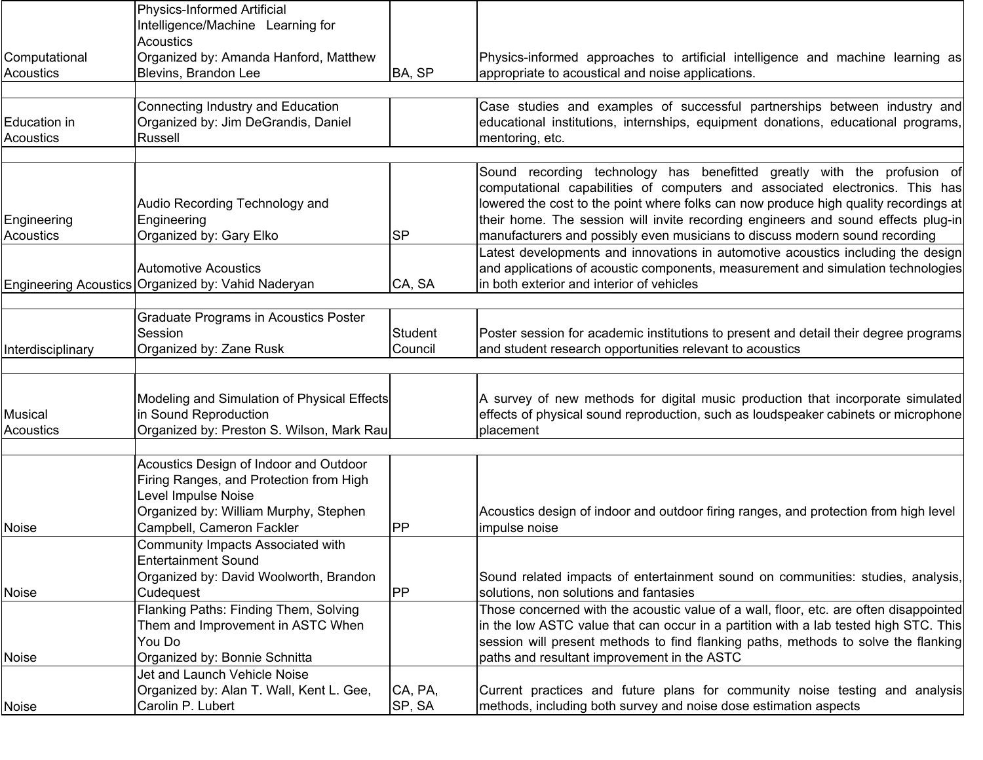| <b>Acoustics</b><br>Organized by: Amanda Hanford, Matthew<br>Computational<br>Physics-informed approaches to artificial intelligence and machine learning as<br>Acoustics<br>Blevins, Brandon Lee<br>BA, SP<br>appropriate to acoustical and noise applications.<br>Case studies and examples of successful partnerships between industry and<br>Connecting Industry and Education<br>Organized by: Jim DeGrandis, Daniel<br><b>Education in</b><br>educational institutions, internships, equipment donations, educational programs,<br>Acoustics<br>Russell<br>mentoring, etc.<br>Audio Recording Technology and<br>Engineering<br>Engineering<br>Organized by: Gary Elko<br>manufacturers and possibly even musicians to discuss modern sound recording<br><b>Acoustics</b><br><b>SP</b><br><b>Automotive Acoustics</b><br>CA, SA<br>in both exterior and interior of vehicles<br>Graduate Programs in Acoustics Poster<br>Session<br>Student<br>Organized by: Zane Rusk<br>and student research opportunities relevant to acoustics<br>Council<br>Interdisciplinary<br>Modeling and Simulation of Physical Effects<br>A survey of new methods for digital music production that incorporate simulated<br>in Sound Reproduction<br>effects of physical sound reproduction, such as loudspeaker cabinets or microphone<br><b>Musical</b><br>Organized by: Preston S. Wilson, Mark Rau<br>Acoustics<br>placement<br>Acoustics Design of Indoor and Outdoor<br>Firing Ranges, and Protection from High<br>Level Impulse Noise<br>Organized by: William Murphy, Stephen<br>Acoustics design of indoor and outdoor firing ranges, and protection from high level<br>Campbell, Cameron Fackler<br>impulse noise<br><b>PP</b><br><b>Noise</b><br>Community Impacts Associated with<br><b>Entertainment Sound</b><br>Organized by: David Woolworth, Brandon<br>Sound related impacts of entertainment sound on communities: studies, analysis,<br><b>IPP</b><br>Cudequest<br>solutions, non solutions and fantasies<br>Flanking Paths: Finding Them, Solving<br>In the low ASTC value that can occur in a partition with a lab tested high STC. This<br>Them and Improvement in ASTC When<br>You Do<br>session will present methods to find flanking paths, methods to solve the flanking |              | <b>Physics-Informed Artificial</b> |                                                                                       |
|--------------------------------------------------------------------------------------------------------------------------------------------------------------------------------------------------------------------------------------------------------------------------------------------------------------------------------------------------------------------------------------------------------------------------------------------------------------------------------------------------------------------------------------------------------------------------------------------------------------------------------------------------------------------------------------------------------------------------------------------------------------------------------------------------------------------------------------------------------------------------------------------------------------------------------------------------------------------------------------------------------------------------------------------------------------------------------------------------------------------------------------------------------------------------------------------------------------------------------------------------------------------------------------------------------------------------------------------------------------------------------------------------------------------------------------------------------------------------------------------------------------------------------------------------------------------------------------------------------------------------------------------------------------------------------------------------------------------------------------------------------------------------------------------------------------------------------------------------------------------------------------------------------------------------------------------------------------------------------------------------------------------------------------------------------------------------------------------------------------------------------------------------------------------------------------------------------------------------------------------------------------------------------------|--------------|------------------------------------|---------------------------------------------------------------------------------------|
|                                                                                                                                                                                                                                                                                                                                                                                                                                                                                                                                                                                                                                                                                                                                                                                                                                                                                                                                                                                                                                                                                                                                                                                                                                                                                                                                                                                                                                                                                                                                                                                                                                                                                                                                                                                                                                                                                                                                                                                                                                                                                                                                                                                                                                                                                      |              | Intelligence/Machine Learning for  |                                                                                       |
|                                                                                                                                                                                                                                                                                                                                                                                                                                                                                                                                                                                                                                                                                                                                                                                                                                                                                                                                                                                                                                                                                                                                                                                                                                                                                                                                                                                                                                                                                                                                                                                                                                                                                                                                                                                                                                                                                                                                                                                                                                                                                                                                                                                                                                                                                      |              |                                    |                                                                                       |
|                                                                                                                                                                                                                                                                                                                                                                                                                                                                                                                                                                                                                                                                                                                                                                                                                                                                                                                                                                                                                                                                                                                                                                                                                                                                                                                                                                                                                                                                                                                                                                                                                                                                                                                                                                                                                                                                                                                                                                                                                                                                                                                                                                                                                                                                                      |              |                                    |                                                                                       |
|                                                                                                                                                                                                                                                                                                                                                                                                                                                                                                                                                                                                                                                                                                                                                                                                                                                                                                                                                                                                                                                                                                                                                                                                                                                                                                                                                                                                                                                                                                                                                                                                                                                                                                                                                                                                                                                                                                                                                                                                                                                                                                                                                                                                                                                                                      |              |                                    |                                                                                       |
|                                                                                                                                                                                                                                                                                                                                                                                                                                                                                                                                                                                                                                                                                                                                                                                                                                                                                                                                                                                                                                                                                                                                                                                                                                                                                                                                                                                                                                                                                                                                                                                                                                                                                                                                                                                                                                                                                                                                                                                                                                                                                                                                                                                                                                                                                      |              |                                    |                                                                                       |
|                                                                                                                                                                                                                                                                                                                                                                                                                                                                                                                                                                                                                                                                                                                                                                                                                                                                                                                                                                                                                                                                                                                                                                                                                                                                                                                                                                                                                                                                                                                                                                                                                                                                                                                                                                                                                                                                                                                                                                                                                                                                                                                                                                                                                                                                                      |              |                                    |                                                                                       |
|                                                                                                                                                                                                                                                                                                                                                                                                                                                                                                                                                                                                                                                                                                                                                                                                                                                                                                                                                                                                                                                                                                                                                                                                                                                                                                                                                                                                                                                                                                                                                                                                                                                                                                                                                                                                                                                                                                                                                                                                                                                                                                                                                                                                                                                                                      |              |                                    |                                                                                       |
|                                                                                                                                                                                                                                                                                                                                                                                                                                                                                                                                                                                                                                                                                                                                                                                                                                                                                                                                                                                                                                                                                                                                                                                                                                                                                                                                                                                                                                                                                                                                                                                                                                                                                                                                                                                                                                                                                                                                                                                                                                                                                                                                                                                                                                                                                      |              |                                    |                                                                                       |
| Engineering Acoustics Organized by: Vahid Naderyan<br><b>Noise</b>                                                                                                                                                                                                                                                                                                                                                                                                                                                                                                                                                                                                                                                                                                                                                                                                                                                                                                                                                                                                                                                                                                                                                                                                                                                                                                                                                                                                                                                                                                                                                                                                                                                                                                                                                                                                                                                                                                                                                                                                                                                                                                                                                                                                                   |              |                                    | Sound recording technology has benefitted greatly with the profusion of               |
|                                                                                                                                                                                                                                                                                                                                                                                                                                                                                                                                                                                                                                                                                                                                                                                                                                                                                                                                                                                                                                                                                                                                                                                                                                                                                                                                                                                                                                                                                                                                                                                                                                                                                                                                                                                                                                                                                                                                                                                                                                                                                                                                                                                                                                                                                      |              |                                    | computational capabilities of computers and associated electronics. This has          |
|                                                                                                                                                                                                                                                                                                                                                                                                                                                                                                                                                                                                                                                                                                                                                                                                                                                                                                                                                                                                                                                                                                                                                                                                                                                                                                                                                                                                                                                                                                                                                                                                                                                                                                                                                                                                                                                                                                                                                                                                                                                                                                                                                                                                                                                                                      |              |                                    | lowered the cost to the point where folks can now produce high quality recordings at  |
|                                                                                                                                                                                                                                                                                                                                                                                                                                                                                                                                                                                                                                                                                                                                                                                                                                                                                                                                                                                                                                                                                                                                                                                                                                                                                                                                                                                                                                                                                                                                                                                                                                                                                                                                                                                                                                                                                                                                                                                                                                                                                                                                                                                                                                                                                      |              |                                    | their home. The session will invite recording engineers and sound effects plug-in     |
|                                                                                                                                                                                                                                                                                                                                                                                                                                                                                                                                                                                                                                                                                                                                                                                                                                                                                                                                                                                                                                                                                                                                                                                                                                                                                                                                                                                                                                                                                                                                                                                                                                                                                                                                                                                                                                                                                                                                                                                                                                                                                                                                                                                                                                                                                      |              |                                    |                                                                                       |
|                                                                                                                                                                                                                                                                                                                                                                                                                                                                                                                                                                                                                                                                                                                                                                                                                                                                                                                                                                                                                                                                                                                                                                                                                                                                                                                                                                                                                                                                                                                                                                                                                                                                                                                                                                                                                                                                                                                                                                                                                                                                                                                                                                                                                                                                                      |              |                                    | Latest developments and innovations in automotive acoustics including the design      |
|                                                                                                                                                                                                                                                                                                                                                                                                                                                                                                                                                                                                                                                                                                                                                                                                                                                                                                                                                                                                                                                                                                                                                                                                                                                                                                                                                                                                                                                                                                                                                                                                                                                                                                                                                                                                                                                                                                                                                                                                                                                                                                                                                                                                                                                                                      |              |                                    | and applications of acoustic components, measurement and simulation technologies      |
|                                                                                                                                                                                                                                                                                                                                                                                                                                                                                                                                                                                                                                                                                                                                                                                                                                                                                                                                                                                                                                                                                                                                                                                                                                                                                                                                                                                                                                                                                                                                                                                                                                                                                                                                                                                                                                                                                                                                                                                                                                                                                                                                                                                                                                                                                      |              |                                    |                                                                                       |
|                                                                                                                                                                                                                                                                                                                                                                                                                                                                                                                                                                                                                                                                                                                                                                                                                                                                                                                                                                                                                                                                                                                                                                                                                                                                                                                                                                                                                                                                                                                                                                                                                                                                                                                                                                                                                                                                                                                                                                                                                                                                                                                                                                                                                                                                                      |              |                                    |                                                                                       |
|                                                                                                                                                                                                                                                                                                                                                                                                                                                                                                                                                                                                                                                                                                                                                                                                                                                                                                                                                                                                                                                                                                                                                                                                                                                                                                                                                                                                                                                                                                                                                                                                                                                                                                                                                                                                                                                                                                                                                                                                                                                                                                                                                                                                                                                                                      |              |                                    |                                                                                       |
|                                                                                                                                                                                                                                                                                                                                                                                                                                                                                                                                                                                                                                                                                                                                                                                                                                                                                                                                                                                                                                                                                                                                                                                                                                                                                                                                                                                                                                                                                                                                                                                                                                                                                                                                                                                                                                                                                                                                                                                                                                                                                                                                                                                                                                                                                      |              |                                    | Poster session for academic institutions to present and detail their degree programs  |
|                                                                                                                                                                                                                                                                                                                                                                                                                                                                                                                                                                                                                                                                                                                                                                                                                                                                                                                                                                                                                                                                                                                                                                                                                                                                                                                                                                                                                                                                                                                                                                                                                                                                                                                                                                                                                                                                                                                                                                                                                                                                                                                                                                                                                                                                                      |              |                                    |                                                                                       |
|                                                                                                                                                                                                                                                                                                                                                                                                                                                                                                                                                                                                                                                                                                                                                                                                                                                                                                                                                                                                                                                                                                                                                                                                                                                                                                                                                                                                                                                                                                                                                                                                                                                                                                                                                                                                                                                                                                                                                                                                                                                                                                                                                                                                                                                                                      |              |                                    |                                                                                       |
|                                                                                                                                                                                                                                                                                                                                                                                                                                                                                                                                                                                                                                                                                                                                                                                                                                                                                                                                                                                                                                                                                                                                                                                                                                                                                                                                                                                                                                                                                                                                                                                                                                                                                                                                                                                                                                                                                                                                                                                                                                                                                                                                                                                                                                                                                      |              |                                    |                                                                                       |
|                                                                                                                                                                                                                                                                                                                                                                                                                                                                                                                                                                                                                                                                                                                                                                                                                                                                                                                                                                                                                                                                                                                                                                                                                                                                                                                                                                                                                                                                                                                                                                                                                                                                                                                                                                                                                                                                                                                                                                                                                                                                                                                                                                                                                                                                                      |              |                                    |                                                                                       |
|                                                                                                                                                                                                                                                                                                                                                                                                                                                                                                                                                                                                                                                                                                                                                                                                                                                                                                                                                                                                                                                                                                                                                                                                                                                                                                                                                                                                                                                                                                                                                                                                                                                                                                                                                                                                                                                                                                                                                                                                                                                                                                                                                                                                                                                                                      |              |                                    |                                                                                       |
|                                                                                                                                                                                                                                                                                                                                                                                                                                                                                                                                                                                                                                                                                                                                                                                                                                                                                                                                                                                                                                                                                                                                                                                                                                                                                                                                                                                                                                                                                                                                                                                                                                                                                                                                                                                                                                                                                                                                                                                                                                                                                                                                                                                                                                                                                      |              |                                    |                                                                                       |
|                                                                                                                                                                                                                                                                                                                                                                                                                                                                                                                                                                                                                                                                                                                                                                                                                                                                                                                                                                                                                                                                                                                                                                                                                                                                                                                                                                                                                                                                                                                                                                                                                                                                                                                                                                                                                                                                                                                                                                                                                                                                                                                                                                                                                                                                                      |              |                                    |                                                                                       |
|                                                                                                                                                                                                                                                                                                                                                                                                                                                                                                                                                                                                                                                                                                                                                                                                                                                                                                                                                                                                                                                                                                                                                                                                                                                                                                                                                                                                                                                                                                                                                                                                                                                                                                                                                                                                                                                                                                                                                                                                                                                                                                                                                                                                                                                                                      |              |                                    |                                                                                       |
|                                                                                                                                                                                                                                                                                                                                                                                                                                                                                                                                                                                                                                                                                                                                                                                                                                                                                                                                                                                                                                                                                                                                                                                                                                                                                                                                                                                                                                                                                                                                                                                                                                                                                                                                                                                                                                                                                                                                                                                                                                                                                                                                                                                                                                                                                      |              |                                    |                                                                                       |
|                                                                                                                                                                                                                                                                                                                                                                                                                                                                                                                                                                                                                                                                                                                                                                                                                                                                                                                                                                                                                                                                                                                                                                                                                                                                                                                                                                                                                                                                                                                                                                                                                                                                                                                                                                                                                                                                                                                                                                                                                                                                                                                                                                                                                                                                                      |              |                                    |                                                                                       |
|                                                                                                                                                                                                                                                                                                                                                                                                                                                                                                                                                                                                                                                                                                                                                                                                                                                                                                                                                                                                                                                                                                                                                                                                                                                                                                                                                                                                                                                                                                                                                                                                                                                                                                                                                                                                                                                                                                                                                                                                                                                                                                                                                                                                                                                                                      |              |                                    |                                                                                       |
|                                                                                                                                                                                                                                                                                                                                                                                                                                                                                                                                                                                                                                                                                                                                                                                                                                                                                                                                                                                                                                                                                                                                                                                                                                                                                                                                                                                                                                                                                                                                                                                                                                                                                                                                                                                                                                                                                                                                                                                                                                                                                                                                                                                                                                                                                      |              |                                    |                                                                                       |
|                                                                                                                                                                                                                                                                                                                                                                                                                                                                                                                                                                                                                                                                                                                                                                                                                                                                                                                                                                                                                                                                                                                                                                                                                                                                                                                                                                                                                                                                                                                                                                                                                                                                                                                                                                                                                                                                                                                                                                                                                                                                                                                                                                                                                                                                                      |              |                                    |                                                                                       |
|                                                                                                                                                                                                                                                                                                                                                                                                                                                                                                                                                                                                                                                                                                                                                                                                                                                                                                                                                                                                                                                                                                                                                                                                                                                                                                                                                                                                                                                                                                                                                                                                                                                                                                                                                                                                                                                                                                                                                                                                                                                                                                                                                                                                                                                                                      |              |                                    |                                                                                       |
|                                                                                                                                                                                                                                                                                                                                                                                                                                                                                                                                                                                                                                                                                                                                                                                                                                                                                                                                                                                                                                                                                                                                                                                                                                                                                                                                                                                                                                                                                                                                                                                                                                                                                                                                                                                                                                                                                                                                                                                                                                                                                                                                                                                                                                                                                      |              |                                    |                                                                                       |
|                                                                                                                                                                                                                                                                                                                                                                                                                                                                                                                                                                                                                                                                                                                                                                                                                                                                                                                                                                                                                                                                                                                                                                                                                                                                                                                                                                                                                                                                                                                                                                                                                                                                                                                                                                                                                                                                                                                                                                                                                                                                                                                                                                                                                                                                                      |              |                                    | Those concerned with the acoustic value of a wall, floor, etc. are often disappointed |
|                                                                                                                                                                                                                                                                                                                                                                                                                                                                                                                                                                                                                                                                                                                                                                                                                                                                                                                                                                                                                                                                                                                                                                                                                                                                                                                                                                                                                                                                                                                                                                                                                                                                                                                                                                                                                                                                                                                                                                                                                                                                                                                                                                                                                                                                                      |              |                                    |                                                                                       |
|                                                                                                                                                                                                                                                                                                                                                                                                                                                                                                                                                                                                                                                                                                                                                                                                                                                                                                                                                                                                                                                                                                                                                                                                                                                                                                                                                                                                                                                                                                                                                                                                                                                                                                                                                                                                                                                                                                                                                                                                                                                                                                                                                                                                                                                                                      |              |                                    |                                                                                       |
|                                                                                                                                                                                                                                                                                                                                                                                                                                                                                                                                                                                                                                                                                                                                                                                                                                                                                                                                                                                                                                                                                                                                                                                                                                                                                                                                                                                                                                                                                                                                                                                                                                                                                                                                                                                                                                                                                                                                                                                                                                                                                                                                                                                                                                                                                      | <b>Noise</b> | Organized by: Bonnie Schnitta      | paths and resultant improvement in the ASTC                                           |
| Jet and Launch Vehicle Noise                                                                                                                                                                                                                                                                                                                                                                                                                                                                                                                                                                                                                                                                                                                                                                                                                                                                                                                                                                                                                                                                                                                                                                                                                                                                                                                                                                                                                                                                                                                                                                                                                                                                                                                                                                                                                                                                                                                                                                                                                                                                                                                                                                                                                                                         |              |                                    |                                                                                       |
| Organized by: Alan T. Wall, Kent L. Gee,<br>CA, PA,                                                                                                                                                                                                                                                                                                                                                                                                                                                                                                                                                                                                                                                                                                                                                                                                                                                                                                                                                                                                                                                                                                                                                                                                                                                                                                                                                                                                                                                                                                                                                                                                                                                                                                                                                                                                                                                                                                                                                                                                                                                                                                                                                                                                                                  |              |                                    | Current practices and future plans for community noise testing and analysis           |
| Carolin P. Lubert<br>SP, SA<br>methods, including both survey and noise dose estimation aspects<br>Noise                                                                                                                                                                                                                                                                                                                                                                                                                                                                                                                                                                                                                                                                                                                                                                                                                                                                                                                                                                                                                                                                                                                                                                                                                                                                                                                                                                                                                                                                                                                                                                                                                                                                                                                                                                                                                                                                                                                                                                                                                                                                                                                                                                             |              |                                    |                                                                                       |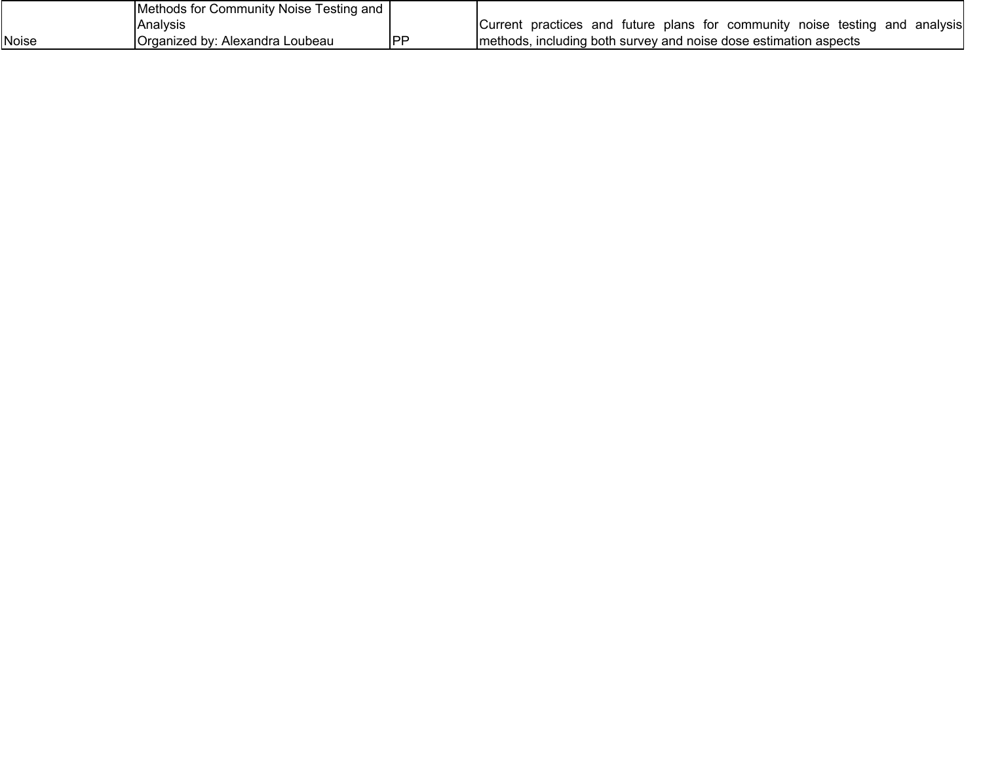|       | <b>IMethods for Community Noise Tord</b><br>I esting and |     |                                                                                                |
|-------|----------------------------------------------------------|-----|------------------------------------------------------------------------------------------------|
|       | lAnalvsis                                                |     | testing<br>and<br>Current<br>future plans for community noise<br>analvsısl<br>and<br>practices |
| Noise | Organized by:<br>Alexandra Loubeau                       | IPI | Imethods, including both survey and noise dose estimation aspects                              |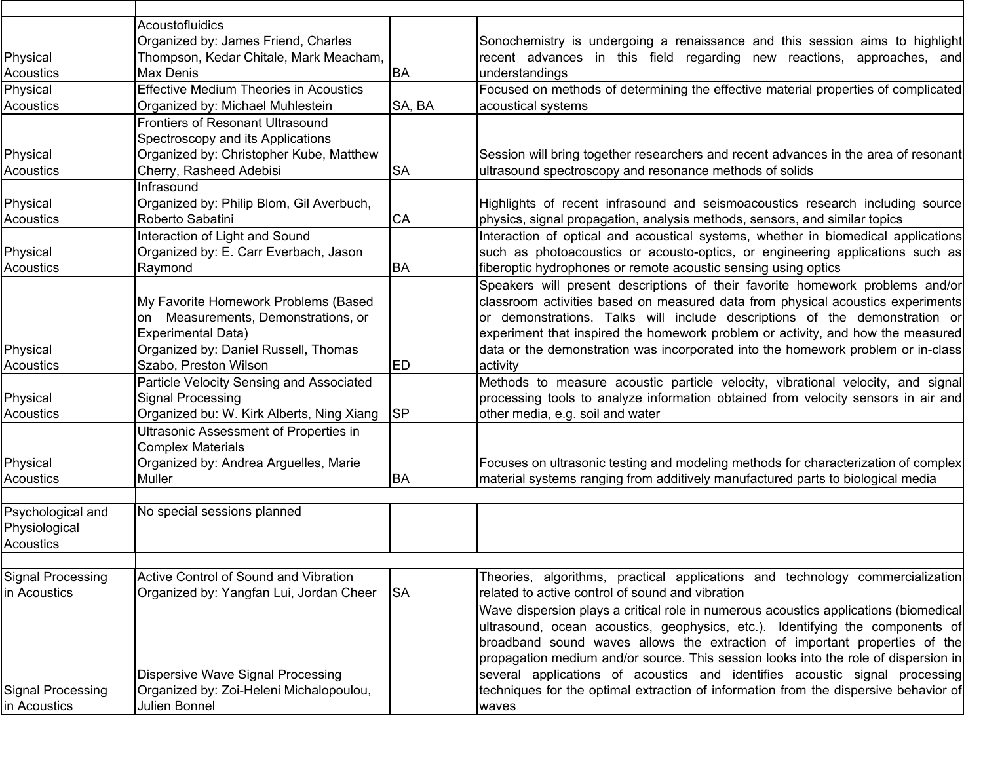|                   | Acoustofluidics                               |           |                                                                                      |
|-------------------|-----------------------------------------------|-----------|--------------------------------------------------------------------------------------|
|                   | Organized by: James Friend, Charles           |           | Sonochemistry is undergoing a renaissance and this session aims to highlight         |
| Physical          | Thompson, Kedar Chitale, Mark Meacham,        |           | recent advances in this field regarding new reactions, approaches, and               |
| Acoustics         | <b>Max Denis</b>                              | <b>BA</b> | understandings                                                                       |
| Physical          | <b>Effective Medium Theories in Acoustics</b> |           | Focused on methods of determining the effective material properties of complicated   |
| Acoustics         | Organized by: Michael Muhlestein              | SA, BA    | acoustical systems                                                                   |
|                   | <b>Frontiers of Resonant Ultrasound</b>       |           |                                                                                      |
|                   | Spectroscopy and its Applications             |           |                                                                                      |
| Physical          | Organized by: Christopher Kube, Matthew       |           | Session will bring together researchers and recent advances in the area of resonant  |
| <b>Acoustics</b>  | Cherry, Rasheed Adebisi                       | <b>SA</b> | ultrasound spectroscopy and resonance methods of solids                              |
|                   | Infrasound                                    |           |                                                                                      |
| Physical          | Organized by: Philip Blom, Gil Averbuch,      |           | Highlights of recent infrasound and seismoacoustics research including source        |
| Acoustics         | Roberto Sabatini                              | <b>CA</b> | physics, signal propagation, analysis methods, sensors, and similar topics           |
|                   | Interaction of Light and Sound                |           | Interaction of optical and acoustical systems, whether in biomedical applications    |
| Physical          | Organized by: E. Carr Everbach, Jason         |           | such as photoacoustics or acousto-optics, or engineering applications such as        |
| <b>Acoustics</b>  | Raymond                                       | <b>BA</b> | fiberoptic hydrophones or remote acoustic sensing using optics                       |
|                   |                                               |           | Speakers will present descriptions of their favorite homework problems and/or        |
|                   | My Favorite Homework Problems (Based          |           | classroom activities based on measured data from physical acoustics experiments      |
|                   | Measurements, Demonstrations, or<br>lon       |           | or demonstrations. Talks will include descriptions of the demonstration or           |
|                   | <b>Experimental Data)</b>                     |           | experiment that inspired the homework problem or activity, and how the measured      |
|                   |                                               |           |                                                                                      |
| Physical          | Organized by: Daniel Russell, Thomas          |           | data or the demonstration was incorporated into the homework problem or in-class     |
| Acoustics         | Szabo, Preston Wilson                         | ED        | activity                                                                             |
|                   | Particle Velocity Sensing and Associated      |           | Methods to measure acoustic particle velocity, vibrational velocity, and signal      |
| Physical          | Signal Processing                             |           | processing tools to analyze information obtained from velocity sensors in air and    |
| <b>Acoustics</b>  | Organized bu: W. Kirk Alberts, Ning Xiang     | <b>SP</b> | other media, e.g. soil and water                                                     |
|                   | Ultrasonic Assessment of Properties in        |           |                                                                                      |
|                   | <b>Complex Materials</b>                      |           |                                                                                      |
| Physical          | Organized by: Andrea Arguelles, Marie         |           | Focuses on ultrasonic testing and modeling methods for characterization of complex   |
| Acoustics         | Muller                                        | <b>BA</b> | material systems ranging from additively manufactured parts to biological media      |
|                   |                                               |           |                                                                                      |
| Psychological and | No special sessions planned                   |           |                                                                                      |
| Physiological     |                                               |           |                                                                                      |
| Acoustics         |                                               |           |                                                                                      |
|                   |                                               |           |                                                                                      |
| Signal Processing | Active Control of Sound and Vibration         |           | Theories, algorithms, practical applications and technology commercialization        |
| in Acoustics      | Organized by: Yangfan Lui, Jordan Cheer       | <b>SA</b> | related to active control of sound and vibration                                     |
|                   |                                               |           | Wave dispersion plays a critical role in numerous acoustics applications (biomedical |
|                   |                                               |           | ultrasound, ocean acoustics, geophysics, etc.). Identifying the components of        |
|                   |                                               |           | broadband sound waves allows the extraction of important properties of the           |
|                   |                                               |           | propagation medium and/or source. This session looks into the role of dispersion in  |
|                   | Dispersive Wave Signal Processing             |           | several applications of acoustics and identifies acoustic signal processing          |
| Signal Processing | Organized by: Zoi-Heleni Michalopoulou,       |           | techniques for the optimal extraction of information from the dispersive behavior of |
| in Acoustics      | Julien Bonnel                                 |           | waves                                                                                |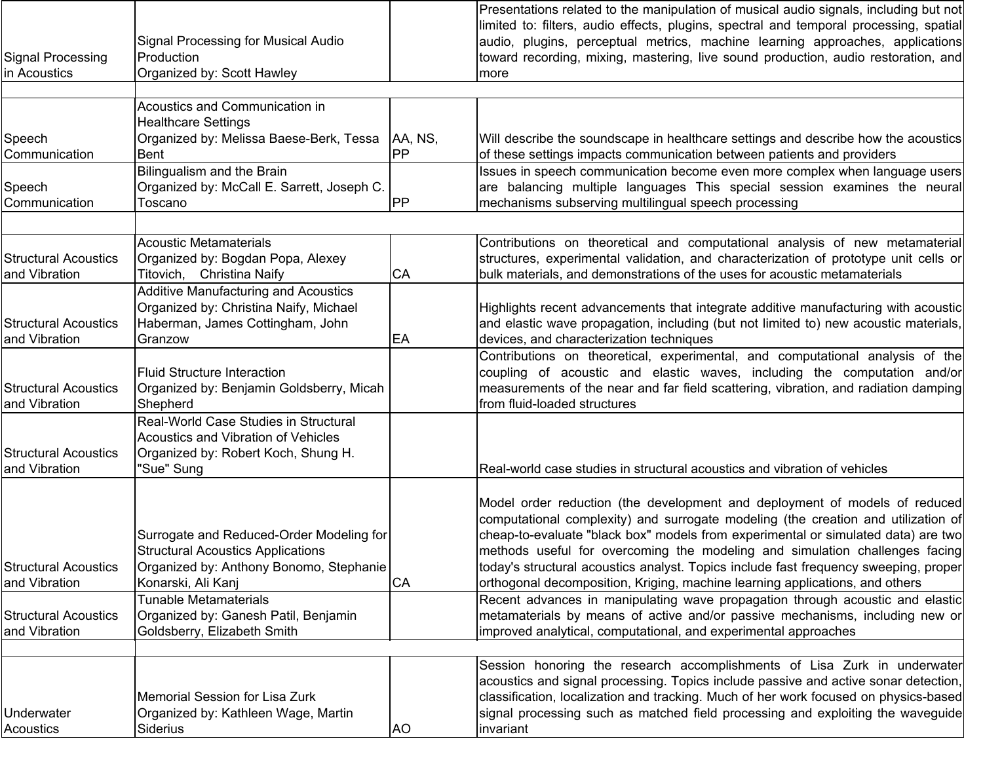| <b>Signal Processing</b><br>in Acoustics     | Signal Processing for Musical Audio<br>Production<br>Organized by: Scott Hawley                                                                                                       |          | Presentations related to the manipulation of musical audio signals, including but not<br> limited to: filters, audio effects, plugins, spectral and temporal processing, spatial <br>audio, plugins, perceptual metrics, machine learning approaches, applications<br>toward recording, mixing, mastering, live sound production, audio restoration, and<br>more                                                                                                                                                                                                                             |
|----------------------------------------------|---------------------------------------------------------------------------------------------------------------------------------------------------------------------------------------|----------|----------------------------------------------------------------------------------------------------------------------------------------------------------------------------------------------------------------------------------------------------------------------------------------------------------------------------------------------------------------------------------------------------------------------------------------------------------------------------------------------------------------------------------------------------------------------------------------------|
| Speech                                       | Acoustics and Communication in<br><b>Healthcare Settings</b><br>Organized by: Melissa Baese-Berk, Tessa                                                                               | AA, NS,  | Will describe the soundscape in healthcare settings and describe how the acoustics                                                                                                                                                                                                                                                                                                                                                                                                                                                                                                           |
| Communication<br>Speech<br>Communication     | Bent<br>Bilingualism and the Brain<br>Organized by: McCall E. Sarrett, Joseph C.<br>Toscano                                                                                           | PP<br>PP | of these settings impacts communication between patients and providers<br>Issues in speech communication become even more complex when language users<br>are balancing multiple languages This special session examines the neural<br>mechanisms subserving multilingual speech processing                                                                                                                                                                                                                                                                                                   |
| <b>Structural Acoustics</b><br>and Vibration | <b>Acoustic Metamaterials</b><br>Organized by: Bogdan Popa, Alexey<br>Titovich, Christina Naify                                                                                       | CA       | Contributions on theoretical and computational analysis of new metamaterial<br>structures, experimental validation, and characterization of prototype unit cells or<br>bulk materials, and demonstrations of the uses for acoustic metamaterials                                                                                                                                                                                                                                                                                                                                             |
| <b>Structural Acoustics</b><br>and Vibration | <b>Additive Manufacturing and Acoustics</b><br>Organized by: Christina Naify, Michael<br>Haberman, James Cottingham, John<br>Granzow                                                  | EA       | Highlights recent advancements that integrate additive manufacturing with acoustic<br>and elastic wave propagation, including (but not limited to) new acoustic materials,<br>devices, and characterization techniques                                                                                                                                                                                                                                                                                                                                                                       |
| <b>Structural Acoustics</b><br>and Vibration | <b>Fluid Structure Interaction</b><br>Organized by: Benjamin Goldsberry, Micah<br>Shepherd                                                                                            |          | Contributions on theoretical, experimental, and computational analysis of the<br>coupling of acoustic and elastic waves, including the computation and/or<br>measurements of the near and far field scattering, vibration, and radiation damping<br>from fluid-loaded structures                                                                                                                                                                                                                                                                                                             |
| <b>Structural Acoustics</b><br>and Vibration | Real-World Case Studies in Structural<br>Acoustics and Vibration of Vehicles<br>Organized by: Robert Koch, Shung H.<br>"Sue" Sung                                                     |          | Real-world case studies in structural acoustics and vibration of vehicles                                                                                                                                                                                                                                                                                                                                                                                                                                                                                                                    |
| <b>Structural Acoustics</b><br>and Vibration | Surrogate and Reduced-Order Modeling for<br><b>Structural Acoustics Applications</b><br>Organized by: Anthony Bonomo, Stephanie<br>Konarski, Ali Kanj<br><b>Tunable Metamaterials</b> | CA       | Model order reduction (the development and deployment of models of reduced<br>computational complexity) and surrogate modeling (the creation and utilization of<br>cheap-to-evaluate "black box" models from experimental or simulated data) are two<br>methods useful for overcoming the modeling and simulation challenges facing<br>today's structural acoustics analyst. Topics include fast frequency sweeping, proper<br>orthogonal decomposition, Kriging, machine learning applications, and others<br>Recent advances in manipulating wave propagation through acoustic and elastic |
| <b>Structural Acoustics</b><br>and Vibration | Organized by: Ganesh Patil, Benjamin<br>Goldsberry, Elizabeth Smith                                                                                                                   |          | metamaterials by means of active and/or passive mechanisms, including new or<br>improved analytical, computational, and experimental approaches                                                                                                                                                                                                                                                                                                                                                                                                                                              |
| Underwater<br>Acoustics                      | <b>Memorial Session for Lisa Zurk</b><br>Organized by: Kathleen Wage, Martin<br>Siderius                                                                                              | AO       | Session honoring the research accomplishments of Lisa Zurk in underwater<br>acoustics and signal processing. Topics include passive and active sonar detection,<br>classification, localization and tracking. Much of her work focused on physics-based<br>signal processing such as matched field processing and exploiting the waveguide<br>invariant                                                                                                                                                                                                                                      |